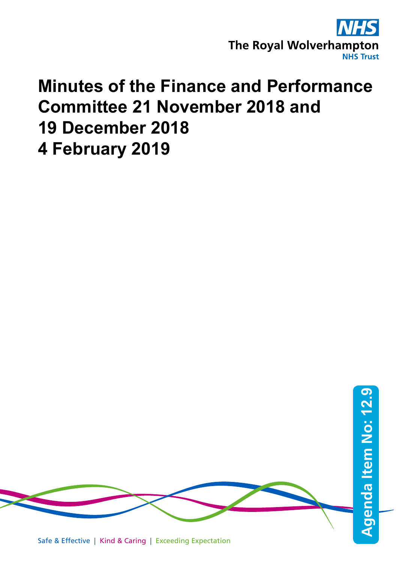

# **Minutes of the Finance and Performance Committee 21 November 2018 and 19 December 2018 4 February 2019**

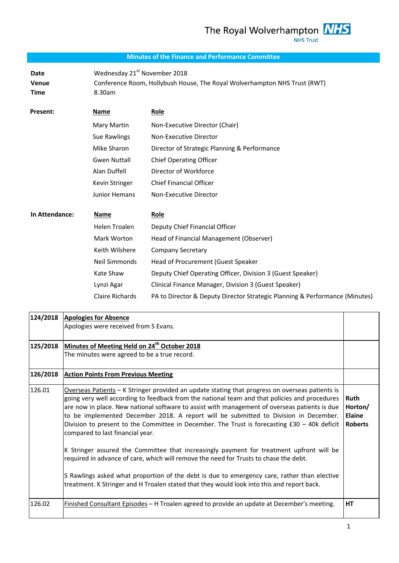The Royal Wolverhampton **NHS NHS Trust** 

### **Minutes of the Finance and Performance Committee**

**Date Wednesday 21<sup>st</sup> November 2018 Venue** Conference Room, Hollybush House, The Royal Wolverhampton NHS Trust (RWT) **Time** 8.30am

| Present:       | Name           | <b>Role</b>                                  |
|----------------|----------------|----------------------------------------------|
|                | Mary Martin    | Non-Executive Director (Chair)               |
|                | Sue Rawlings   | Non-Executive Director                       |
|                | Mike Sharon    | Director of Strategic Planning & Performance |
|                | Gwen Nuttall   | <b>Chief Operating Officer</b>               |
|                | Alan Duffell   | Director of Workforce                        |
|                | Kevin Stringer | <b>Chief Financial Officer</b>               |
|                | Junior Hemans  | Non-Executive Director                       |
|                |                |                                              |
| In Attendance: | Name           | Role                                         |
|                | Helen Troalen  | Deputy Chief Financial Officer               |
|                | Mark Worton    | Head of Financial Management (Observer)      |
|                | Keith Wilshere | Company Secretary                            |
|                | Neil Simmonds  | Head of Procurement (Guest Speaker           |
|                |                |                                              |

Kate Shaw Deputy Chief Operating Officer, Division 3 (Guest Speaker)

Lynzi Agar Clinical Finance Manager, Division 3 (Guest Speaker)

Claire Richards PA to Director & Deputy Director Strategic Planning & Performance (Minutes)

| 124/2018 | <b>Apologies for Absence</b>                                                                                                                                                                                                                                                                                                                                                                                                                                                                                                                                                                                                                                                                                                                                                                                                                                                                                      |                                                    |
|----------|-------------------------------------------------------------------------------------------------------------------------------------------------------------------------------------------------------------------------------------------------------------------------------------------------------------------------------------------------------------------------------------------------------------------------------------------------------------------------------------------------------------------------------------------------------------------------------------------------------------------------------------------------------------------------------------------------------------------------------------------------------------------------------------------------------------------------------------------------------------------------------------------------------------------|----------------------------------------------------|
|          | Apologies were received from S Evans.                                                                                                                                                                                                                                                                                                                                                                                                                                                                                                                                                                                                                                                                                                                                                                                                                                                                             |                                                    |
| 125/2018 | Minutes of Meeting Held on 24 <sup>th</sup> October 2018                                                                                                                                                                                                                                                                                                                                                                                                                                                                                                                                                                                                                                                                                                                                                                                                                                                          |                                                    |
|          | The minutes were agreed to be a true record.                                                                                                                                                                                                                                                                                                                                                                                                                                                                                                                                                                                                                                                                                                                                                                                                                                                                      |                                                    |
| 126/2018 | <b>Action Points From Previous Meeting</b>                                                                                                                                                                                                                                                                                                                                                                                                                                                                                                                                                                                                                                                                                                                                                                                                                                                                        |                                                    |
| 126.01   | Overseas Patients - K Stringer provided an update stating that progress on overseas patients is<br>going very well according to feedback from the national team and that policies and procedures<br>are now in place. New national software to assist with management of overseas patients is due<br>to be implemented December 2018. A report will be submitted to Division in December.<br>Division to present to the Committee in December. The Trust is forecasting $£30 - 40k$ deficit<br>compared to last financial year.<br>K Stringer assured the Committee that increasingly payment for treatment upfront will be<br>required in advance of care, which will remove the need for Trusts to chase the debt.<br>S Rawlings asked what proportion of the debt is due to emergency care, rather than elective<br>treatment. K Stringer and H Troalen stated that they would look into this and report back. | <b>Ruth</b><br>Horton/<br>Elaine<br><b>Roberts</b> |
| 126.02   | Finished Consultant Episodes - H Troalen agreed to provide an update at December's meeting.                                                                                                                                                                                                                                                                                                                                                                                                                                                                                                                                                                                                                                                                                                                                                                                                                       | НT                                                 |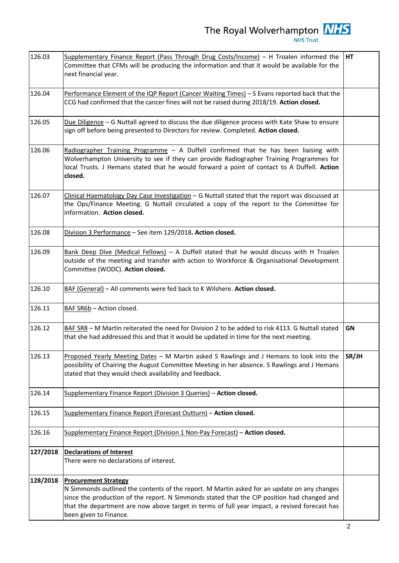| 126.03   | Supplementary Finance Report (Pass Through Drug Costs/Income) - H Troalen informed the<br>Committee that CFMs will be producing the information and that it would be available for the<br>next financial year.                                                                                                                                       | <b>HT</b> |
|----------|------------------------------------------------------------------------------------------------------------------------------------------------------------------------------------------------------------------------------------------------------------------------------------------------------------------------------------------------------|-----------|
| 126.04   | Performance Element of the IQP Report (Cancer Waiting Times) - S Evans reported back that the<br>CCG had confirmed that the cancer fines will not be raised during 2018/19. Action closed.                                                                                                                                                           |           |
| 126.05   | Due Diligence - G Nuttall agreed to discuss the due diligence process with Kate Shaw to ensure<br>sign off before being presented to Directors for review. Completed. Action closed.                                                                                                                                                                 |           |
| 126.06   | Radiographer Training Programme - A Duffell confirmed that he has been liaising with<br>Wolverhampton University to see if they can provide Radiographer Training Programmes for<br>local Trusts. J Hemans stated that he would forward a point of contact to A Duffell. Action<br>closed.                                                           |           |
| 126.07   | Clinical Haematology Day Case Investigation - G Nuttall stated that the report was discussed at<br>the Ops/Finance Meeting. G Nuttall circulated a copy of the report to the Committee for<br>information. Action closed.                                                                                                                            |           |
| 126.08   | Division 3 Performance - See item 129/2018. Action closed.                                                                                                                                                                                                                                                                                           |           |
| 126.09   | Bank Deep Dive (Medical Fellows) - A Duffell stated that he would discuss with H Troalen<br>outside of the meeting and transfer with action to Workforce & Organisational Development<br>Committee (WODC). Action closed.                                                                                                                            |           |
| 126.10   | BAF (General) - All comments were fed back to K Wilshere. Action closed.                                                                                                                                                                                                                                                                             |           |
| 126.11   | BAF SR6b - Action closed.                                                                                                                                                                                                                                                                                                                            |           |
| 126.12   | BAF SR8 - M Martin reiterated the need for Division 2 to be added to risk 4113. G Nuttall stated<br>that she had addressed this and that it would be updated in time for the next meeting.                                                                                                                                                           | GN        |
| 126.13   | Proposed Yearly Meeting Dates - M Martin asked S Rawlings and J Hemans to look into the<br>possibility of Chairing the August Committee Meeting in her absence. S Rawlings and J Hemans<br>stated that they would check availability and feedback.                                                                                                   | SR/JH     |
| 126.14   | Supplementary Finance Report (Division 3 Queries) - Action closed.                                                                                                                                                                                                                                                                                   |           |
| 126.15   | Supplementary Finance Report (Forecast Outturn) - Action closed.                                                                                                                                                                                                                                                                                     |           |
| 126.16   | Supplementary Finance Report (Division 1 Non-Pay Forecast) - Action closed.                                                                                                                                                                                                                                                                          |           |
| 127/2018 | <b>Declarations of Interest</b><br>There were no declarations of interest.                                                                                                                                                                                                                                                                           |           |
| 128/2018 | <b>Procurement Strategy</b><br>N Simmonds outlined the contents of the report. M Martin asked for an update on any changes<br>since the production of the report. N Simmonds stated that the CIP position had changed and<br>that the department are now above target in terms of full year impact, a revised forecast has<br>been given to Finance. |           |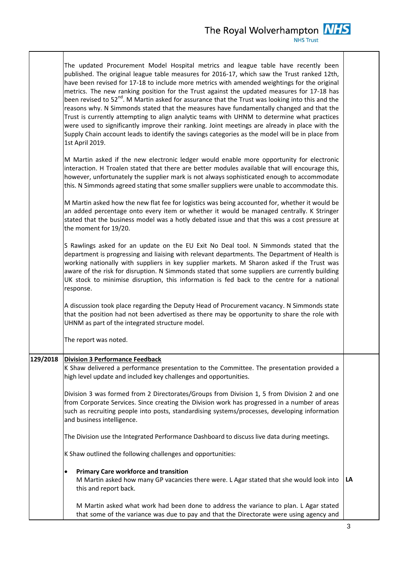I

| The updated Procurement Model Hospital metrics and league table have recently been<br>published. The original league table measures for 2016-17, which saw the Trust ranked 12th,<br>have been revised for 17-18 to include more metrics with amended weightings for the original<br>metrics. The new ranking position for the Trust against the updated measures for 17-18 has<br>been revised to 52 <sup>nd</sup> . M Martin asked for assurance that the Trust was looking into this and the<br>reasons why. N Simmonds stated that the measures have fundamentally changed and that the<br>Trust is currently attempting to align analytic teams with UHNM to determine what practices<br>were used to significantly improve their ranking. Joint meetings are already in place with the<br>Supply Chain account leads to identify the savings categories as the model will be in place from<br>1st April 2019. |    |
|---------------------------------------------------------------------------------------------------------------------------------------------------------------------------------------------------------------------------------------------------------------------------------------------------------------------------------------------------------------------------------------------------------------------------------------------------------------------------------------------------------------------------------------------------------------------------------------------------------------------------------------------------------------------------------------------------------------------------------------------------------------------------------------------------------------------------------------------------------------------------------------------------------------------|----|
| M Martin asked if the new electronic ledger would enable more opportunity for electronic<br>interaction. H Troalen stated that there are better modules available that will encourage this,<br>however, unfortunately the supplier mark is not always sophisticated enough to accommodate<br>this. N Simmonds agreed stating that some smaller suppliers were unable to accommodate this.                                                                                                                                                                                                                                                                                                                                                                                                                                                                                                                           |    |
| M Martin asked how the new flat fee for logistics was being accounted for, whether it would be<br>an added percentage onto every item or whether it would be managed centrally. K Stringer<br>stated that the business model was a hotly debated issue and that this was a cost pressure at<br>the moment for 19/20.                                                                                                                                                                                                                                                                                                                                                                                                                                                                                                                                                                                                |    |
| S Rawlings asked for an update on the EU Exit No Deal tool. N Simmonds stated that the<br>department is progressing and liaising with relevant departments. The Department of Health is<br>working nationally with suppliers in key supplier markets. M Sharon asked if the Trust was<br>aware of the risk for disruption. N Simmonds stated that some suppliers are currently building<br>UK stock to minimise disruption, this information is fed back to the centre for a national<br>response.                                                                                                                                                                                                                                                                                                                                                                                                                  |    |
| A discussion took place regarding the Deputy Head of Procurement vacancy. N Simmonds state<br>that the position had not been advertised as there may be opportunity to share the role with<br>UHNM as part of the integrated structure model.                                                                                                                                                                                                                                                                                                                                                                                                                                                                                                                                                                                                                                                                       |    |
| The report was noted.                                                                                                                                                                                                                                                                                                                                                                                                                                                                                                                                                                                                                                                                                                                                                                                                                                                                                               |    |
| 129/2018 Division 3 Performance Feedback<br>K Shaw delivered a performance presentation to the Committee. The presentation provided a<br>high level update and included key challenges and opportunities.                                                                                                                                                                                                                                                                                                                                                                                                                                                                                                                                                                                                                                                                                                           |    |
| Division 3 was formed from 2 Directorates/Groups from Division 1, 5 from Division 2 and one<br>from Corporate Services. Since creating the Division work has progressed in a number of areas<br>such as recruiting people into posts, standardising systems/processes, developing information<br>and business intelligence.                                                                                                                                                                                                                                                                                                                                                                                                                                                                                                                                                                                         |    |
| The Division use the Integrated Performance Dashboard to discuss live data during meetings.                                                                                                                                                                                                                                                                                                                                                                                                                                                                                                                                                                                                                                                                                                                                                                                                                         |    |
| K Shaw outlined the following challenges and opportunities:                                                                                                                                                                                                                                                                                                                                                                                                                                                                                                                                                                                                                                                                                                                                                                                                                                                         |    |
| <b>Primary Care workforce and transition</b><br>٠<br>M Martin asked how many GP vacancies there were. L Agar stated that she would look into<br>this and report back.                                                                                                                                                                                                                                                                                                                                                                                                                                                                                                                                                                                                                                                                                                                                               | LA |
| M Martin asked what work had been done to address the variance to plan. L Agar stated<br>that some of the variance was due to pay and that the Directorate were using agency and                                                                                                                                                                                                                                                                                                                                                                                                                                                                                                                                                                                                                                                                                                                                    |    |

 $\overline{\phantom{0}}$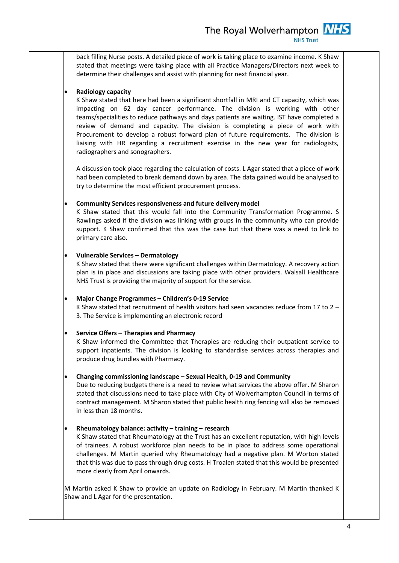The Royal Wolverhampton **NHS NHS Trust** 

back filling Nurse posts. A detailed piece of work is taking place to examine income. K Shaw stated that meetings were taking place with all Practice Managers/Directors next week to determine their challenges and assist with planning for next financial year.

#### **Radiology capacity**

K Shaw stated that here had been a significant shortfall in MRI and CT capacity, which was impacting on 62 day cancer performance. The division is working with other teams/specialities to reduce pathways and days patients are waiting. IST have completed a review of demand and capacity. The division is completing a piece of work with Procurement to develop a robust forward plan of future requirements. The division is liaising with HR regarding a recruitment exercise in the new year for radiologists, radiographers and sonographers.

A discussion took place regarding the calculation of costs. L Agar stated that a piece of work had been completed to break demand down by area. The data gained would be analysed to try to determine the most efficient procurement process.

#### **Community Services responsiveness and future delivery model**

K Shaw stated that this would fall into the Community Transformation Programme. S Rawlings asked if the division was linking with groups in the community who can provide support. K Shaw confirmed that this was the case but that there was a need to link to primary care also.

#### **Vulnerable Services – Dermatology**

K Shaw stated that there were significant challenges within Dermatology. A recovery action plan is in place and discussions are taking place with other providers. Walsall Healthcare NHS Trust is providing the majority of support for the service.

#### **Major Change Programmes – Children's 0-19 Service**

K Shaw stated that recruitment of health visitors had seen vacancies reduce from 17 to  $2 -$ 3. The Service is implementing an electronic record

#### **Service Offers – Therapies and Pharmacy**

K Shaw informed the Committee that Therapies are reducing their outpatient service to support inpatients. The division is looking to standardise services across therapies and produce drug bundles with Pharmacy.

#### **Changing commissioning landscape – Sexual Health, 0-19 and Community**

Due to reducing budgets there is a need to review what services the above offer. M Sharon stated that discussions need to take place with City of Wolverhampton Council in terms of contract management. M Sharon stated that public health ring fencing will also be removed in less than 18 months.

#### **Rheumatology balance: activity – training – research**

K Shaw stated that Rheumatology at the Trust has an excellent reputation, with high levels of trainees. A robust workforce plan needs to be in place to address some operational challenges. M Martin queried why Rheumatology had a negative plan. M Worton stated that this was due to pass through drug costs. H Troalen stated that this would be presented more clearly from April onwards.

M Martin asked K Shaw to provide an update on Radiology in February. M Martin thanked K Shaw and L Agar for the presentation.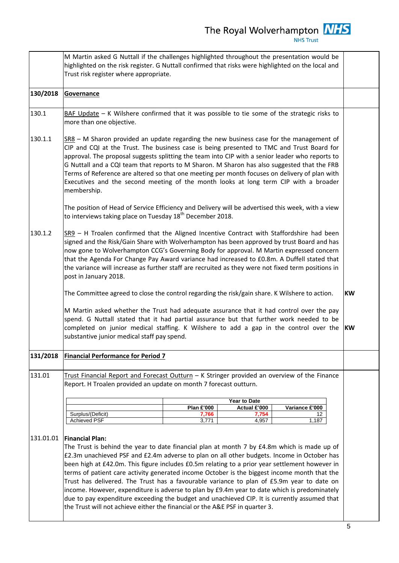|           | M Martin asked G Nuttall if the challenges highlighted throughout the presentation would be<br>highlighted on the risk register. G Nuttall confirmed that risks were highlighted on the local and<br>Trust risk register where appropriate.                                                                                                                                                                                                                                                                                                                                                                                                                                                                        |                   |                     |                |           |
|-----------|--------------------------------------------------------------------------------------------------------------------------------------------------------------------------------------------------------------------------------------------------------------------------------------------------------------------------------------------------------------------------------------------------------------------------------------------------------------------------------------------------------------------------------------------------------------------------------------------------------------------------------------------------------------------------------------------------------------------|-------------------|---------------------|----------------|-----------|
| 130/2018  | Governance                                                                                                                                                                                                                                                                                                                                                                                                                                                                                                                                                                                                                                                                                                         |                   |                     |                |           |
| 130.1     | BAF Update - K Wilshere confirmed that it was possible to tie some of the strategic risks to<br>more than one objective.                                                                                                                                                                                                                                                                                                                                                                                                                                                                                                                                                                                           |                   |                     |                |           |
| 130.1.1   | SR8 - M Sharon provided an update regarding the new business case for the management of<br>CIP and CQI at the Trust. The business case is being presented to TMC and Trust Board for<br>approval. The proposal suggests splitting the team into CIP with a senior leader who reports to<br>G Nuttall and a CQI team that reports to M Sharon. M Sharon has also suggested that the FRB<br>Terms of Reference are altered so that one meeting per month focuses on delivery of plan with<br>Executives and the second meeting of the month looks at long term CIP with a broader<br>membership.                                                                                                                     |                   |                     |                |           |
|           | The position of Head of Service Efficiency and Delivery will be advertised this week, with a view<br>to interviews taking place on Tuesday 18 <sup>th</sup> December 2018.                                                                                                                                                                                                                                                                                                                                                                                                                                                                                                                                         |                   |                     |                |           |
| 130.1.2   | $SSB - H$ Troalen confirmed that the Aligned Incentive Contract with Staffordshire had been<br>signed and the Risk/Gain Share with Wolverhampton has been approved by trust Board and has<br>now gone to Wolverhampton CCG's Governing Body for approval. M Martin expressed concern<br>that the Agenda For Change Pay Award variance had increased to £0.8m. A Duffell stated that<br>the variance will increase as further staff are recruited as they were not fixed term positions in<br>post in January 2018.                                                                                                                                                                                                 |                   |                     |                |           |
|           | The Committee agreed to close the control regarding the risk/gain share. K Wilshere to action.                                                                                                                                                                                                                                                                                                                                                                                                                                                                                                                                                                                                                     |                   |                     |                | <b>KW</b> |
|           | M Martin asked whether the Trust had adequate assurance that it had control over the pay<br>spend. G Nuttall stated that it had partial assurance but that further work needed to be<br>completed on junior medical staffing. K Wilshere to add a gap in the control over the<br>substantive junior medical staff pay spend.                                                                                                                                                                                                                                                                                                                                                                                       |                   |                     |                | <b>KW</b> |
| 131/2018  | <b>Financial Performance for Period 7</b>                                                                                                                                                                                                                                                                                                                                                                                                                                                                                                                                                                                                                                                                          |                   |                     |                |           |
| 131.01    | Trust Financial Report and Forecast Outturn - K Stringer provided an overview of the Finance<br>Report. H Troalen provided an update on month 7 forecast outturn.                                                                                                                                                                                                                                                                                                                                                                                                                                                                                                                                                  |                   |                     |                |           |
|           |                                                                                                                                                                                                                                                                                                                                                                                                                                                                                                                                                                                                                                                                                                                    |                   | <b>Year to Date</b> |                |           |
|           |                                                                                                                                                                                                                                                                                                                                                                                                                                                                                                                                                                                                                                                                                                                    | <b>Plan £'000</b> | Actual £'000        | Variance £'000 |           |
|           | Surplus/(Deficit)<br><b>Achieved PSF</b>                                                                                                                                                                                                                                                                                                                                                                                                                                                                                                                                                                                                                                                                           | 7,766<br>3,771    | 7,754<br>4,957      | 12<br>1,187    |           |
| 131.01.01 | <b>Financial Plan:</b><br>The Trust is behind the year to date financial plan at month 7 by £4.8m which is made up of<br>£2.3m unachieved PSF and £2.4m adverse to plan on all other budgets. Income in October has<br>been high at £42.0m. This figure includes £0.5m relating to a prior year settlement however in<br>terms of patient care activity generated income October is the biggest income month that the<br>Trust has delivered. The Trust has a favourable variance to plan of £5.9m year to date on<br>income. However, expenditure is adverse to plan by £9.4m year to date which is predominately<br>due to pay expenditure exceeding the budget and unachieved CIP. It is currently assumed that |                   |                     |                |           |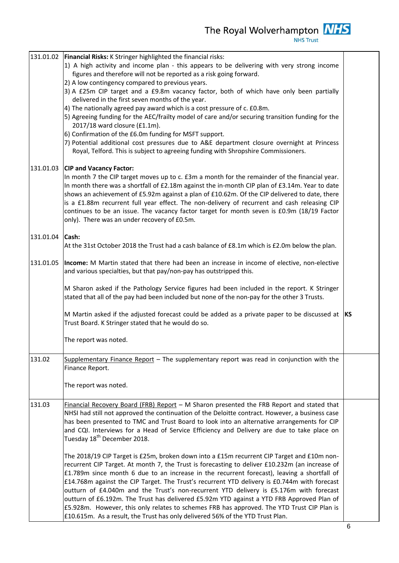|           | 131.01.02   Financial Risks: K Stringer highlighted the financial risks:<br>1) A high activity and income plan - this appears to be delivering with very strong income<br>figures and therefore will not be reported as a risk going forward.<br>2) A low contingency compared to previous years.<br>3) A £25m CIP target and a £9.8m vacancy factor, both of which have only been partially<br>delivered in the first seven months of the year.<br>4) The nationally agreed pay award which is a cost pressure of c. £0.8m.<br>5) Agreeing funding for the AEC/frailty model of care and/or securing transition funding for the<br>2017/18 ward closure (£1.1m).<br>6) Confirmation of the £6.0m funding for MSFT support.<br>7) Potential additional cost pressures due to A&E department closure overnight at Princess<br>Royal, Telford. This is subject to agreeing funding with Shropshire Commissioners. |           |
|-----------|-----------------------------------------------------------------------------------------------------------------------------------------------------------------------------------------------------------------------------------------------------------------------------------------------------------------------------------------------------------------------------------------------------------------------------------------------------------------------------------------------------------------------------------------------------------------------------------------------------------------------------------------------------------------------------------------------------------------------------------------------------------------------------------------------------------------------------------------------------------------------------------------------------------------|-----------|
| 131.01.03 | <b>CIP and Vacancy Factor:</b><br>In month 7 the CIP target moves up to c. £3m a month for the remainder of the financial year.<br>In month there was a shortfall of £2.18m against the in-month CIP plan of £3.14m. Year to date<br>shows an achievement of £5.92m against a plan of £10.62m. Of the CIP delivered to date, there<br>is a £1.88m recurrent full year effect. The non-delivery of recurrent and cash releasing CIP<br>continues to be an issue. The vacancy factor target for month seven is £0.9m (18/19 Factor<br>only). There was an under recovery of £0.5m.                                                                                                                                                                                                                                                                                                                                |           |
| 131.01.04 | Cash:<br>At the 31st October 2018 the Trust had a cash balance of £8.1m which is £2.0m below the plan.                                                                                                                                                                                                                                                                                                                                                                                                                                                                                                                                                                                                                                                                                                                                                                                                          |           |
| 131.01.05 | Income: M Martin stated that there had been an increase in income of elective, non-elective<br>and various specialties, but that pay/non-pay has outstripped this.                                                                                                                                                                                                                                                                                                                                                                                                                                                                                                                                                                                                                                                                                                                                              |           |
|           | M Sharon asked if the Pathology Service figures had been included in the report. K Stringer<br>stated that all of the pay had been included but none of the non-pay for the other 3 Trusts.                                                                                                                                                                                                                                                                                                                                                                                                                                                                                                                                                                                                                                                                                                                     |           |
|           | M Martin asked if the adjusted forecast could be added as a private paper to be discussed at<br>Trust Board. K Stringer stated that he would do so.                                                                                                                                                                                                                                                                                                                                                                                                                                                                                                                                                                                                                                                                                                                                                             | <b>KS</b> |
|           | The report was noted.                                                                                                                                                                                                                                                                                                                                                                                                                                                                                                                                                                                                                                                                                                                                                                                                                                                                                           |           |
| 131.02    | Supplementary Finance Report - The supplementary report was read in conjunction with the<br>Finance Report.                                                                                                                                                                                                                                                                                                                                                                                                                                                                                                                                                                                                                                                                                                                                                                                                     |           |
|           | The report was noted.                                                                                                                                                                                                                                                                                                                                                                                                                                                                                                                                                                                                                                                                                                                                                                                                                                                                                           |           |
| 131.03    | Financial Recovery Board (FRB) Report - M Sharon presented the FRB Report and stated that<br>NHSI had still not approved the continuation of the Deloitte contract. However, a business case<br>has been presented to TMC and Trust Board to look into an alternative arrangements for CIP<br>and CQI. Interviews for a Head of Service Efficiency and Delivery are due to take place on<br>Tuesday 18 <sup>th</sup> December 2018.                                                                                                                                                                                                                                                                                                                                                                                                                                                                             |           |
|           | The 2018/19 CIP Target is £25m, broken down into a £15m recurrent CIP Target and £10m non-<br>recurrent CIP Target. At month 7, the Trust is forecasting to deliver £10.232m (an increase of<br>£1.789m since month 6 due to an increase in the recurrent forecast), leaving a shortfall of<br>£14.768m against the CIP Target. The Trust's recurrent YTD delivery is £0.744m with forecast<br>outturn of £4.040m and the Trust's non-recurrent YTD delivery is £5.176m with forecast<br>outturn of £6.192m. The Trust has delivered £5.92m YTD against a YTD FRB Approved Plan of<br>£5.928m. However, this only relates to schemes FRB has approved. The YTD Trust CIP Plan is<br>£10.615m. As a result, the Trust has only delivered 56% of the YTD Trust Plan.                                                                                                                                              |           |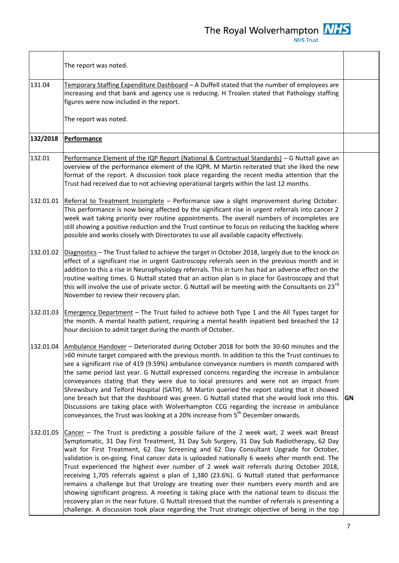The Royal Wolverhampton **NHS NHS Trust** 

The report was noted. 131.04 Temporary Staffing Expenditure Dashboard – A Duffell stated that the number of employees are increasing and that bank and agency use is reducing. H Troalen stated that Pathology staffing figures were now included in the report. The report was noted. **132/2018 Performance** 132.01 132.01.01 132.01.02 132.01.03 132.01.04 132.01.05 Performance Element of the IQP Report (National & Contractual Standards) – G Nuttall gave an overview of the performance element of the IQPR. M Martin reiterated that she liked the new format of the report. A discussion took place regarding the recent media attention that the Trust had received due to not achieving operational targets within the last 12 months. Referral to Treatment Incomplete – Performance saw a slight improvement during October. This performance is now being affected by the significant rise in urgent referrals into cancer 2 week wait taking priority over routine appointments. The overall numbers of incompletes are still showing a positive reduction and the Trust continue to focus on reducing the backlog where possible and works closely with Directorates to use all available capacity effectively. Diagnostics – The Trust failed to achieve the target in October 2018, largely due to the knock on effect of a significant rise in urgent Gastroscopy referrals seen in the previous month and in addition to this a rise in Neurophysiology referrals. This in turn has had an adverse effect on the routine waiting times. G Nuttall stated that an action plan is in place for Gastroscopy and that this will involve the use of private sector. G Nuttall will be meeting with the Consultants on 23 $^{\text{rd}}$ November to review their recovery plan. Emergency Department – The Trust failed to achieve both Type 1 and the All Types target for the month. A mental health patient, requiring a mental health inpatient bed breached the 12 hour decision to admit target during the month of October. Ambulance Handover – Deteriorated during October 2018 for both the 30-60 minutes and the >60 minute target compared with the previous month. In addition to this the Trust continues to see a significant rise of 419 (9.59%) ambulance conveyance numbers in month compared with the same period last year. G Nuttall expressed concerns regarding the increase in ambulance conveyances stating that they were due to local pressures and were not an impact from Shrewsbury and Telford Hospital (SATH). M Martin queried the report stating that it showed one breach but that the dashboard was green. G Nuttall stated that she would look into this. Discussions are taking place with Wolverhampton CCG regarding the increase in ambulance conveyances, the Trust was looking at a 20% increase from  $5<sup>th</sup>$  December onwards. Cancer – The Trust is predicting a possible failure of the 2 week wait, 2 week wait Breast Symptomatic, 31 Day First Treatment, 31 Day Sub Surgery, 31 Day Sub Radiotherapy, 62 Day wait for First Treatment, 62 Day Screening and 62 Day Consultant Upgrade for October, validation is on-going. Final cancer data is uploaded nationally 6 weeks after month end. The Trust experienced the highest ever number of 2 week wait referrals during October 2018, receiving 1,705 referrals against a plan of 1,380 (23.6%). G Nuttall stated that performance remains a challenge but that Urology are treating over their numbers every month and are showing significant progress. A meeting is taking place with the national team to discuss the recovery plan in the near future. G Nuttall stressed that the number of referrals is presenting a **GN**

challenge. A discussion took place regarding the Trust strategic objective of being in the top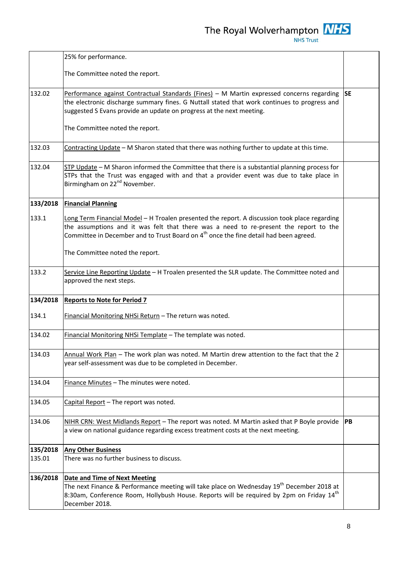|                    | 25% for performance.                                                                                                                                                                                                                                                              |           |
|--------------------|-----------------------------------------------------------------------------------------------------------------------------------------------------------------------------------------------------------------------------------------------------------------------------------|-----------|
|                    | The Committee noted the report.                                                                                                                                                                                                                                                   |           |
| 132.02             | Performance against Contractual Standards (Fines) - M Martin expressed concerns regarding<br>the electronic discharge summary fines. G Nuttall stated that work continues to progress and<br>suggested S Evans provide an update on progress at the next meeting.                 | <b>SE</b> |
|                    | The Committee noted the report.                                                                                                                                                                                                                                                   |           |
| 132.03             | Contracting Update - M Sharon stated that there was nothing further to update at this time.                                                                                                                                                                                       |           |
| 132.04             | STP Update - M Sharon informed the Committee that there is a substantial planning process for<br>STPs that the Trust was engaged with and that a provider event was due to take place in<br>Birmingham on 22 <sup>nd</sup> November.                                              |           |
| 133/2018           | <b>Financial Planning</b>                                                                                                                                                                                                                                                         |           |
| 133.1              | Long Term Financial Model - H Troalen presented the report. A discussion took place regarding<br>the assumptions and it was felt that there was a need to re-present the report to the<br>Committee in December and to Trust Board on $4th$ once the fine detail had been agreed. |           |
|                    | The Committee noted the report.                                                                                                                                                                                                                                                   |           |
| 133.2              | Service Line Reporting Update - H Troalen presented the SLR update. The Committee noted and<br>approved the next steps.                                                                                                                                                           |           |
| 134/2018           | <b>Reports to Note for Period 7</b>                                                                                                                                                                                                                                               |           |
| 134.1              | Financial Monitoring NHSi Return - The return was noted.                                                                                                                                                                                                                          |           |
| 134.02             | Financial Monitoring NHSi Template - The template was noted.                                                                                                                                                                                                                      |           |
| 134.03             | Annual Work Plan - The work plan was noted. M Martin drew attention to the fact that the 2<br>year self-assessment was due to be completed in December.                                                                                                                           |           |
| 134.04             | Finance Minutes - The minutes were noted.                                                                                                                                                                                                                                         |           |
| 134.05             | Capital Report - The report was noted.                                                                                                                                                                                                                                            |           |
| 134.06             | NIHR CRN: West Midlands Report - The report was noted. M Martin asked that P Boyle provide<br>a view on national guidance regarding excess treatment costs at the next meeting.                                                                                                   | <b>PB</b> |
| 135/2018<br>135.01 | <b>Any Other Business</b><br>There was no further business to discuss.                                                                                                                                                                                                            |           |
| 136/2018           | <b>Date and Time of Next Meeting</b><br>The next Finance & Performance meeting will take place on Wednesday 19 <sup>th</sup> December 2018 at<br>8:30am, Conference Room, Hollybush House. Reports will be required by 2pm on Friday $14^{\text{th}}$<br>December 2018.           |           |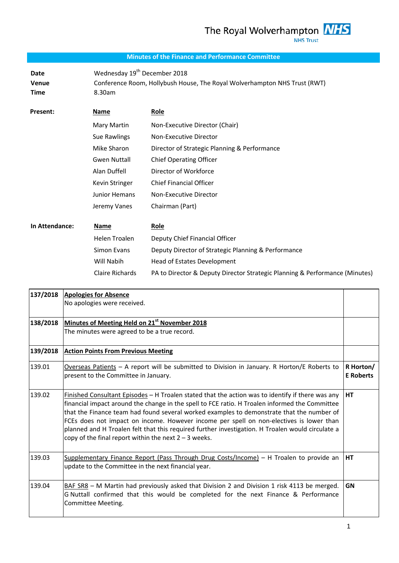## **Minutes of the Finance and Performance Committee**

Date Wednesday 19<sup>th</sup> December 2018 **Venue** Conference Room, Hollybush House, The Royal Wolverhampton NHS Trust (RWT) **Time** 8.30am

| Present:       | Name                | Role                                         |
|----------------|---------------------|----------------------------------------------|
|                | Mary Martin         | Non-Executive Director (Chair)               |
|                | Sue Rawlings        | Non-Executive Director                       |
|                | Mike Sharon         | Director of Strategic Planning & Performance |
|                | <b>Gwen Nuttall</b> | <b>Chief Operating Officer</b>               |
|                | Alan Duffell        | Director of Workforce                        |
|                | Kevin Stringer      | <b>Chief Financial Officer</b>               |
|                | Junior Hemans       | Non-Executive Director                       |
|                | Jeremy Vanes        | Chairman (Part)                              |
|                |                     |                                              |
| In Attendance: | <b>Name</b>         | Role                                         |

| ndance: | ivame.          | <b>ROIE</b>                                                                 |
|---------|-----------------|-----------------------------------------------------------------------------|
|         | Helen Troalen   | Deputy Chief Financial Officer                                              |
|         | Simon Evans     | Deputy Director of Strategic Planning & Performance                         |
|         | Will Nabih      | Head of Estates Development                                                 |
|         | Claire Richards | PA to Director & Deputy Director Strategic Planning & Performance (Minutes) |

| 137/2018 | <b>Apologies for Absence</b>                                                                                                                                                                                                                                                                                                                                                                                                                                                                                                                              |                               |
|----------|-----------------------------------------------------------------------------------------------------------------------------------------------------------------------------------------------------------------------------------------------------------------------------------------------------------------------------------------------------------------------------------------------------------------------------------------------------------------------------------------------------------------------------------------------------------|-------------------------------|
|          | No apologies were received.                                                                                                                                                                                                                                                                                                                                                                                                                                                                                                                               |                               |
| 138/2018 | Minutes of Meeting Held on 21 <sup>st</sup> November 2018                                                                                                                                                                                                                                                                                                                                                                                                                                                                                                 |                               |
|          | The minutes were agreed to be a true record.                                                                                                                                                                                                                                                                                                                                                                                                                                                                                                              |                               |
| 139/2018 | <b>Action Points From Previous Meeting</b>                                                                                                                                                                                                                                                                                                                                                                                                                                                                                                                |                               |
| 139.01   | Overseas Patients - A report will be submitted to Division in January. R Horton/E Roberts to<br>present to the Committee in January.                                                                                                                                                                                                                                                                                                                                                                                                                      | R Horton/<br><b>E</b> Roberts |
| 139.02   | Finished Consultant Episodes – H Troalen stated that the action was to identify if there was any<br>financial impact around the change in the spell to FCE ratio. H Troalen informed the Committee<br>that the Finance team had found several worked examples to demonstrate that the number of<br>FCEs does not impact on income. However income per spell on non-electives is lower than<br>planned and H Troalen felt that this required further investigation. H Troalen would circulate a<br>copy of the final report within the next $2 - 3$ weeks. | <b>HT</b>                     |
| 139.03   | Supplementary Finance Report (Pass Through Drug Costs/Income) - H Troalen to provide an<br>update to the Committee in the next financial year.                                                                                                                                                                                                                                                                                                                                                                                                            | HT                            |
| 139.04   | BAF SR8 - M Martin had previously asked that Division 2 and Division 1 risk 4113 be merged.<br>G Nuttall confirmed that this would be completed for the next Finance & Performance<br>Committee Meeting.                                                                                                                                                                                                                                                                                                                                                  | <b>GN</b>                     |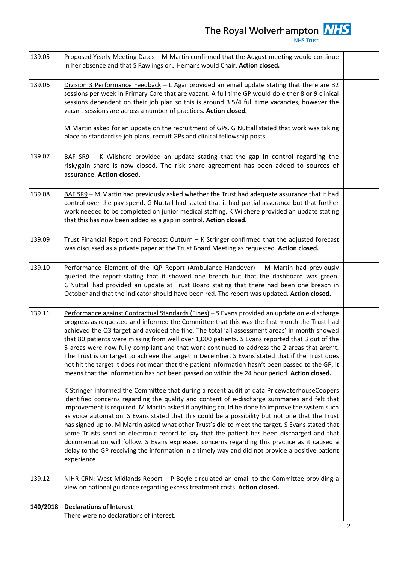The Royal Wolverhampton  $\overline{MHS}$ 

| 139.05   | Proposed Yearly Meeting Dates - M Martin confirmed that the August meeting would continue<br>in her absence and that S Rawlings or J Hemans would Chair. Action closed.                                                                                                                                                                                                                                                                                                                                                                                                                                                                                                                                                                                                                                            |  |
|----------|--------------------------------------------------------------------------------------------------------------------------------------------------------------------------------------------------------------------------------------------------------------------------------------------------------------------------------------------------------------------------------------------------------------------------------------------------------------------------------------------------------------------------------------------------------------------------------------------------------------------------------------------------------------------------------------------------------------------------------------------------------------------------------------------------------------------|--|
| 139.06   | Division 3 Performance Feedback - L Agar provided an email update stating that there are 32<br>sessions per week in Primary Care that are vacant. A full time GP would do either 8 or 9 clinical<br>sessions dependent on their job plan so this is around 3.5/4 full time vacancies, however the<br>vacant sessions are across a number of practices. Action closed.                                                                                                                                                                                                                                                                                                                                                                                                                                              |  |
|          | M Martin asked for an update on the recruitment of GPs. G Nuttall stated that work was taking<br>place to standardise job plans, recruit GPs and clinical fellowship posts.                                                                                                                                                                                                                                                                                                                                                                                                                                                                                                                                                                                                                                        |  |
| 139.07   | $BAF$ SR9 – K Wilshere provided an update stating that the gap in control regarding the<br>risk/gain share is now closed. The risk share agreement has been added to sources of<br>assurance. Action closed.                                                                                                                                                                                                                                                                                                                                                                                                                                                                                                                                                                                                       |  |
| 139.08   | BAF SR9 - M Martin had previously asked whether the Trust had adequate assurance that it had<br>control over the pay spend. G Nuttall had stated that it had partial assurance but that further<br>work needed to be completed on junior medical staffing. K Wilshere provided an update stating<br>that this has now been added as a gap in control. Action closed.                                                                                                                                                                                                                                                                                                                                                                                                                                               |  |
| 139.09   | Trust Financial Report and Forecast Outturn - K Stringer confirmed that the adjusted forecast<br>was discussed as a private paper at the Trust Board Meeting as requested. Action closed.                                                                                                                                                                                                                                                                                                                                                                                                                                                                                                                                                                                                                          |  |
| 139.10   | Performance Element of the IQP Report (Ambulance Handover) - M Martin had previously<br>queried the report stating that it showed one breach but that the dashboard was green.<br>G Nuttall had provided an update at Trust Board stating that there had been one breach in<br>October and that the indicator should have been red. The report was updated. Action closed.                                                                                                                                                                                                                                                                                                                                                                                                                                         |  |
| 139.11   | Performance against Contractual Standards (Fines) - S Evans provided an update on e-discharge<br>progress as requested and informed the Committee that this was the first month the Trust had<br>achieved the Q3 target and avoided the fine. The total 'all assessment areas' in month showed<br>that 80 patients were missing from well over 1,000 patients. S Evans reported that 3 out of the<br>5 areas were now fully compliant and that work continued to address the 2 areas that aren't.<br>The Trust is on target to achieve the target in December. S Evans stated that if the Trust does<br>not hit the target it does not mean that the patient information hasn't been passed to the GP, it<br>means that the information has not been passed on within the 24 hour period. Action closed.           |  |
|          | K Stringer informed the Committee that during a recent audit of data PricewaterhouseCoopers<br>identified concerns regarding the quality and content of e-discharge summaries and felt that<br>improvement is required. M Martin asked if anything could be done to improve the system such<br>as voice automation. S Evans stated that this could be a possibility but not one that the Trust<br>has signed up to. M Martin asked what other Trust's did to meet the target. S Evans stated that<br>some Trusts send an electronic record to say that the patient has been discharged and that<br>documentation will follow. S Evans expressed concerns regarding this practice as it caused a<br>delay to the GP receiving the information in a timely way and did not provide a positive patient<br>experience. |  |
| 139.12   | NIHR CRN: West Midlands Report - P Boyle circulated an email to the Committee providing a<br>view on national guidance regarding excess treatment costs. Action closed.                                                                                                                                                                                                                                                                                                                                                                                                                                                                                                                                                                                                                                            |  |
| 140/2018 | <b>Declarations of Interest</b><br>There were no declarations of interest.                                                                                                                                                                                                                                                                                                                                                                                                                                                                                                                                                                                                                                                                                                                                         |  |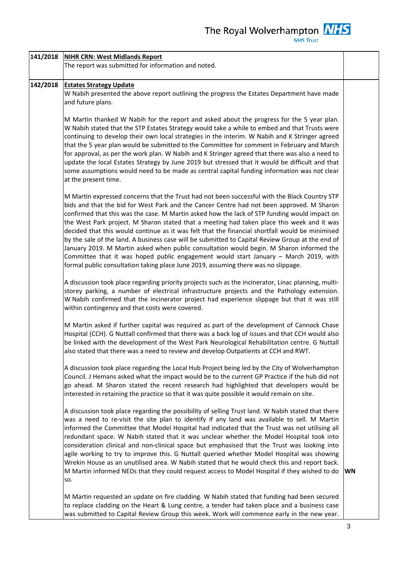| 141/2018 | NIHR CRN: West Midlands Report<br>The report was submitted for information and noted.                                                                                                                                                                                                                                                                                                                                                                                                                                                                                                                                                                                                                                                                                                                                                                                     |           |
|----------|---------------------------------------------------------------------------------------------------------------------------------------------------------------------------------------------------------------------------------------------------------------------------------------------------------------------------------------------------------------------------------------------------------------------------------------------------------------------------------------------------------------------------------------------------------------------------------------------------------------------------------------------------------------------------------------------------------------------------------------------------------------------------------------------------------------------------------------------------------------------------|-----------|
| 142/2018 | <b>Estates Strategy Update</b><br>W Nabih presented the above report outlining the progress the Estates Department have made<br>and future plans.                                                                                                                                                                                                                                                                                                                                                                                                                                                                                                                                                                                                                                                                                                                         |           |
|          | M Martin thanked W Nabih for the report and asked about the progress for the 5 year plan.<br>W Nabih stated that the STP Estates Strategy would take a while to embed and that Trusts were<br>continuing to develop their own local strategies in the interim. W Nabih and K Stringer agreed<br>that the 5 year plan would be submitted to the Committee for comment in February and March<br>for approval, as per the work plan. W Nabih and K Stringer agreed that there was also a need to<br>update the local Estates Strategy by June 2019 but stressed that it would be difficult and that<br>some assumptions would need to be made as central capital funding information was not clear<br>at the present time.                                                                                                                                                   |           |
|          | M Martin expressed concerns that the Trust had not been successful with the Black Country STP<br>bids and that the bid for West Park and the Cancer Centre had not been approved. M Sharon<br>confirmed that this was the case. M Martin asked how the lack of STP funding would impact on<br>the West Park project. M Sharon stated that a meeting had taken place this week and it was<br>decided that this would continue as it was felt that the financial shortfall would be minimised<br>by the sale of the land. A business case will be submitted to Capital Review Group at the end of<br>January 2019. M Martin asked when public consultation would begin. M Sharon informed the<br>Committee that it was hoped public engagement would start January - March 2019, with<br>formal public consultation taking place June 2019, assuming there was no slippage. |           |
|          | A discussion took place regarding priority projects such as the incinerator, Linac planning, multi-<br>storey parking, a number of electrical infrastructure projects and the Pathology extension.<br>W Nabih confirmed that the incinerator project had experience slippage but that it was still<br>within contingency and that costs were covered.                                                                                                                                                                                                                                                                                                                                                                                                                                                                                                                     |           |
|          | M Martin asked if further capital was required as part of the development of Cannock Chase<br>Hospital (CCH). G Nuttall confirmed that there was a back log of issues and that CCH would also<br>be linked with the development of the West Park Neurological Rehabilitation centre. G Nuttall<br>also stated that there was a need to review and develop Outpatients at CCH and RWT.                                                                                                                                                                                                                                                                                                                                                                                                                                                                                     |           |
|          | A discussion took place regarding the Local Hub Project being led by the City of Wolverhampton<br>Council. J Hemans asked what the impact would be to the current GP Practice if the hub did not<br>go ahead. M Sharon stated the recent research had highlighted that developers would be<br>interested in retaining the practice so that it was quite possible it would remain on site.                                                                                                                                                                                                                                                                                                                                                                                                                                                                                 |           |
|          | A discussion took place regarding the possibility of selling Trust land. W Nabih stated that there<br>was a need to re-visit the site plan to identify if any land was available to sell. M Martin<br>informed the Committee that Model Hospital had indicated that the Trust was not utilising all<br>redundant space. W Nabih stated that it was unclear whether the Model Hospital took into<br>consideration clinical and non-clinical space but emphasised that the Trust was looking into<br>agile working to try to improve this. G Nuttall queried whether Model Hospital was showing<br>Wrekin House as an unutilised area. W Nabih stated that he would check this and report back.<br>M Martin informed NEDs that they could request access to Model Hospital if they wished to do<br>SO.                                                                      | <b>WN</b> |
|          | M Martin requested an update on fire cladding. W Nabih stated that funding had been secured<br>to replace cladding on the Heart & Lung centre, a tender had taken place and a business case<br>was submitted to Capital Review Group this week. Work will commence early in the new year.                                                                                                                                                                                                                                                                                                                                                                                                                                                                                                                                                                                 |           |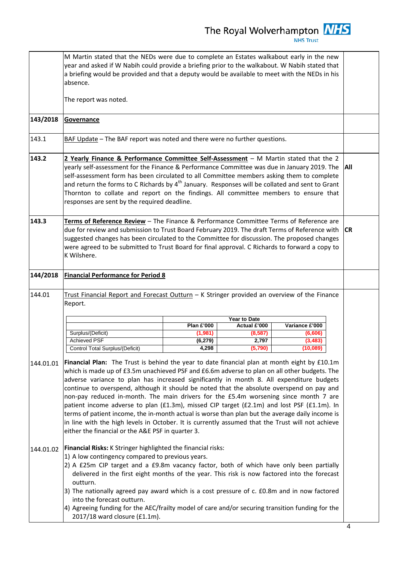|           | M Martin stated that the NEDs were due to complete an Estates walkabout early in the new<br>year and asked if W Nabih could provide a briefing prior to the walkabout. W Nabih stated that<br>a briefing would be provided and that a deputy would be available to meet with the NEDs in his<br>absence.                                                                                                                                                                                                                                                                                                                                                                                                                                                                                                                                |                              |                                     |                                 |  |  |
|-----------|-----------------------------------------------------------------------------------------------------------------------------------------------------------------------------------------------------------------------------------------------------------------------------------------------------------------------------------------------------------------------------------------------------------------------------------------------------------------------------------------------------------------------------------------------------------------------------------------------------------------------------------------------------------------------------------------------------------------------------------------------------------------------------------------------------------------------------------------|------------------------------|-------------------------------------|---------------------------------|--|--|
|           | The report was noted.                                                                                                                                                                                                                                                                                                                                                                                                                                                                                                                                                                                                                                                                                                                                                                                                                   |                              |                                     |                                 |  |  |
| 143/2018  | Governance                                                                                                                                                                                                                                                                                                                                                                                                                                                                                                                                                                                                                                                                                                                                                                                                                              |                              |                                     |                                 |  |  |
| 143.1     | BAF Update - The BAF report was noted and there were no further questions.                                                                                                                                                                                                                                                                                                                                                                                                                                                                                                                                                                                                                                                                                                                                                              |                              |                                     |                                 |  |  |
| 143.2     | 2 Yearly Finance & Performance Committee Self-Assessment - M Martin stated that the 2<br>yearly self-assessment for the Finance & Performance Committee was due in January 2019. The AII<br>self-assessment form has been circulated to all Committee members asking them to complete<br>and return the forms to C Richards by $4th$ January. Responses will be collated and sent to Grant<br>Thornton to collate and report on the findings. All committee members to ensure that<br>responses are sent by the required deadline.                                                                                                                                                                                                                                                                                                      |                              |                                     |                                 |  |  |
| 143.3     | Terms of Reference Review - The Finance & Performance Committee Terms of Reference are<br>due for review and submission to Trust Board February 2019. The draft Terms of Reference with<br>suggested changes has been circulated to the Committee for discussion. The proposed changes<br>were agreed to be submitted to Trust Board for final approval. C Richards to forward a copy to<br>K Wilshere.                                                                                                                                                                                                                                                                                                                                                                                                                                 |                              |                                     | <b>ICR</b>                      |  |  |
|           | <b>Financial Performance for Period 8</b>                                                                                                                                                                                                                                                                                                                                                                                                                                                                                                                                                                                                                                                                                                                                                                                               |                              |                                     |                                 |  |  |
| 144/2018  |                                                                                                                                                                                                                                                                                                                                                                                                                                                                                                                                                                                                                                                                                                                                                                                                                                         |                              |                                     |                                 |  |  |
|           | Trust Financial Report and Forecast Outturn - K Stringer provided an overview of the Finance<br>Report.                                                                                                                                                                                                                                                                                                                                                                                                                                                                                                                                                                                                                                                                                                                                 | <b>Plan £'000</b>            | <b>Year to Date</b><br>Actual £'000 | Variance £'000                  |  |  |
| 144.01    | Surplus/(Deficit)<br><b>Achieved PSF</b><br>Control Total Surplus/(Deficit)                                                                                                                                                                                                                                                                                                                                                                                                                                                                                                                                                                                                                                                                                                                                                             | (1,981)<br>(6, 279)<br>4,298 | (8, 587)<br>2,797<br>(5,790)        | (6,606)<br>(3, 483)<br>(10,089) |  |  |
| 144.01.01 | Financial Plan: The Trust is behind the year to date financial plan at month eight by £10.1m<br>which is made up of £3.5m unachieved PSF and £6.6m adverse to plan on all other budgets. The<br>adverse variance to plan has increased significantly in month 8. All expenditure budgets<br>continue to overspend, although it should be noted that the absolute overspend on pay and<br>non-pay reduced in-month. The main drivers for the £5.4m worsening since month 7 are<br>patient income adverse to plan (£1.3m), missed CIP target (£2.1m) and lost PSF (£1.1m). In<br>terms of patient income, the in-month actual is worse than plan but the average daily income is<br>in line with the high levels in October. It is currently assumed that the Trust will not achieve<br>either the financial or the A&E PSF in quarter 3. |                              |                                     |                                 |  |  |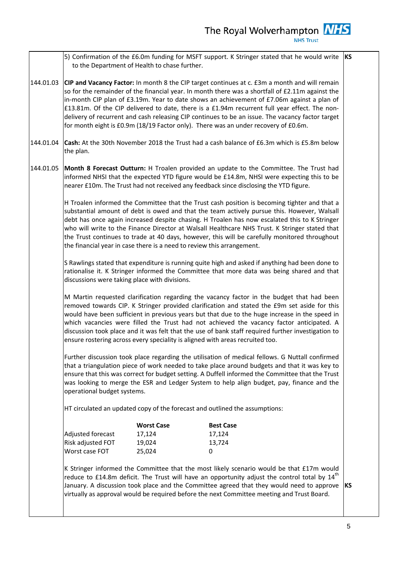144.01.03 144.01.04 144.01.05 5) Confirmation of the £6.0m funding for MSFT support. K Stringer stated that he would write to the Department of Health to chase further. **CIP and Vacancy Factor:** In month 8 the CIP target continues at c. £3m a month and will remain so for the remainder of the financial year. In month there was a shortfall of £2.11m against the in-month CIP plan of £3.19m. Year to date shows an achievement of £7.06m against a plan of £13.81m. Of the CIP delivered to date, there is a £1.94m recurrent full year effect. The nondelivery of recurrent and cash releasing CIP continues to be an issue. The vacancy factor target for month eight is £0.9m (18/19 Factor only). There was an under recovery of £0.6m. **Cash:** At the 30th November 2018 the Trust had a cash balance of £6.3m which is £5.8m below the plan. **Month 8 Forecast Outturn:** H Troalen provided an update to the Committee. The Trust had informed NHSI that the expected YTD figure would be £14.8m, NHSI were expecting this to be nearer £10m. The Trust had not received any feedback since disclosing the YTD figure. H Troalen informed the Committee that the Trust cash position is becoming tighter and that a substantial amount of debt is owed and that the team actively pursue this. However, Walsall debt has once again increased despite chasing. H Troalen has now escalated this to K Stringer who will write to the Finance Director at Walsall Healthcare NHS Trust. K Stringer stated that the Trust continues to trade at 40 days, however, this will be carefully monitored throughout the financial year in case there is a need to review this arrangement. S Rawlings stated that expenditure is running quite high and asked if anything had been done to rationalise it. K Stringer informed the Committee that more data was being shared and that discussions were taking place with divisions. M Martin requested clarification regarding the vacancy factor in the budget that had been removed towards CIP. K Stringer provided clarification and stated the £9m set aside for this would have been sufficient in previous years but that due to the huge increase in the speed in which vacancies were filled the Trust had not achieved the vacancy factor anticipated. A discussion took place and it was felt that the use of bank staff required further investigation to ensure rostering across every speciality is aligned with areas recruited too. Further discussion took place regarding the utilisation of medical fellows. G Nuttall confirmed that a triangulation piece of work needed to take place around budgets and that it was key to ensure that this was correct for budget setting. A Duffell informed the Committee that the Trust was looking to merge the ESR and Ledger System to help align budget, pay, finance and the operational budget systems. HT circulated an updated copy of the forecast and outlined the assumptions: **Worst Case Best Case** Adjusted forecast 17,124 17,124 Risk adjusted FOT 19,024 13,724 Worst case FOT 25,024 0 K Stringer informed the Committee that the most likely scenario would be that £17m would reduce to £14.8m deficit. The Trust will have an opportunity adjust the control total by  $14^{\text{th}}$ January. A discussion took place and the Committee agreed that they would need to approve virtually as approval would be required before the next Committee meeting and Trust Board. **KS KS**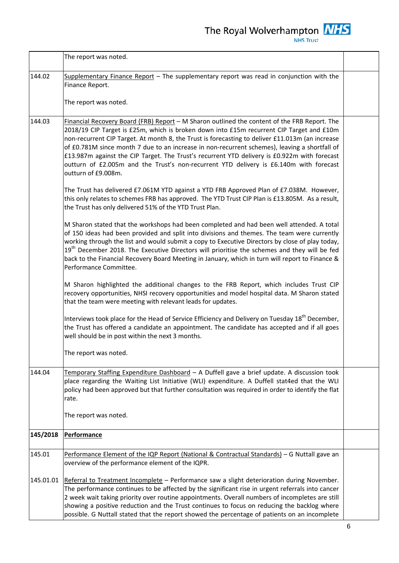The Royal Wolverhampton  $\overline{MHS}$ 

|           | The report was noted.                                                                                                                                                                                                                                                                                                                                                                                                                                                                                                                                                                                         |  |
|-----------|---------------------------------------------------------------------------------------------------------------------------------------------------------------------------------------------------------------------------------------------------------------------------------------------------------------------------------------------------------------------------------------------------------------------------------------------------------------------------------------------------------------------------------------------------------------------------------------------------------------|--|
| 144.02    | Supplementary Finance Report - The supplementary report was read in conjunction with the<br>Finance Report.                                                                                                                                                                                                                                                                                                                                                                                                                                                                                                   |  |
|           | The report was noted.                                                                                                                                                                                                                                                                                                                                                                                                                                                                                                                                                                                         |  |
| 144.03    | Financial Recovery Board (FRB) Report - M Sharon outlined the content of the FRB Report. The<br>2018/19 CIP Target is £25m, which is broken down into £15m recurrent CIP Target and £10m<br>non-recurrent CIP Target. At month 8, the Trust is forecasting to deliver £11.013m (an increase<br>of £0.781M since month 7 due to an increase in non-recurrent schemes), leaving a shortfall of<br>£13.987m against the CIP Target. The Trust's recurrent YTD delivery is £0.922m with forecast<br>outturn of £2.005m and the Trust's non-recurrent YTD delivery is £6.140m with forecast<br>outturn of £9.008m. |  |
|           | The Trust has delivered £7.061M YTD against a YTD FRB Approved Plan of £7.038M. However,<br>this only relates to schemes FRB has approved. The YTD Trust CIP Plan is £13.805M. As a result,<br>the Trust has only delivered 51% of the YTD Trust Plan.                                                                                                                                                                                                                                                                                                                                                        |  |
|           | M Sharon stated that the workshops had been completed and had been well attended. A total<br>of 150 ideas had been provided and split into divisions and themes. The team were currently<br>working through the list and would submit a copy to Executive Directors by close of play today,<br>19 <sup>th</sup> December 2018. The Executive Directors will prioritise the schemes and they will be fed<br>back to the Financial Recovery Board Meeting in January, which in turn will report to Finance &<br>Performance Committee.                                                                          |  |
|           | M Sharon highlighted the additional changes to the FRB Report, which includes Trust CIP<br>recovery opportunities, NHSI recovery opportunities and model hospital data. M Sharon stated<br>that the team were meeting with relevant leads for updates.                                                                                                                                                                                                                                                                                                                                                        |  |
|           | Interviews took place for the Head of Service Efficiency and Delivery on Tuesday 18 <sup>th</sup> December,<br>the Trust has offered a candidate an appointment. The candidate has accepted and if all goes<br>well should be in post within the next 3 months.                                                                                                                                                                                                                                                                                                                                               |  |
|           | The report was noted.                                                                                                                                                                                                                                                                                                                                                                                                                                                                                                                                                                                         |  |
| 144.04    | Temporary Staffing Expenditure Dashboard - A Duffell gave a brief update. A discussion took<br>place regarding the Waiting List Initiative (WLI) expenditure. A Duffell stat4ed that the WLI<br>policy had been approved but that further consultation was required in order to identify the flat<br>rate.                                                                                                                                                                                                                                                                                                    |  |
|           | The report was noted.                                                                                                                                                                                                                                                                                                                                                                                                                                                                                                                                                                                         |  |
| 145/2018  | Performance                                                                                                                                                                                                                                                                                                                                                                                                                                                                                                                                                                                                   |  |
| 145.01    | Performance Element of the IQP Report (National & Contractual Standards) - G Nuttall gave an<br>overview of the performance element of the IQPR.                                                                                                                                                                                                                                                                                                                                                                                                                                                              |  |
| 145.01.01 | Referral to Treatment Incomplete - Performance saw a slight deterioration during November.<br>The performance continues to be affected by the significant rise in urgent referrals into cancer<br>2 week wait taking priority over routine appointments. Overall numbers of incompletes are still<br>showing a positive reduction and the Trust continues to focus on reducing the backlog where<br>possible. G Nuttall stated that the report showed the percentage of patients on an incomplete                                                                                                             |  |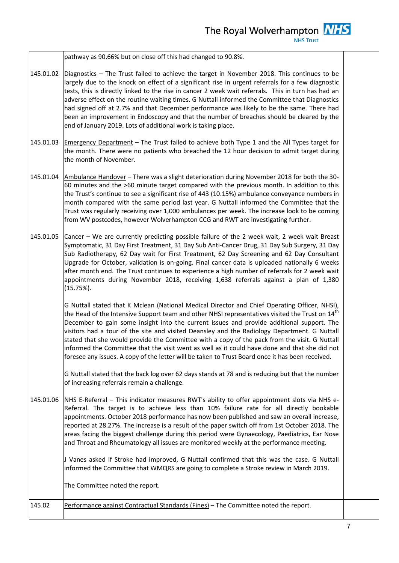|           | pathway as 90.66% but on close off this had changed to 90.8%.                                                                                                                                                                                                                                                                                                                                                                                                                                                                                                                                                                                                                                                   |  |
|-----------|-----------------------------------------------------------------------------------------------------------------------------------------------------------------------------------------------------------------------------------------------------------------------------------------------------------------------------------------------------------------------------------------------------------------------------------------------------------------------------------------------------------------------------------------------------------------------------------------------------------------------------------------------------------------------------------------------------------------|--|
| 145.01.02 | Diagnostics $-$ The Trust failed to achieve the target in November 2018. This continues to be<br>largely due to the knock on effect of a significant rise in urgent referrals for a few diagnostic<br>tests, this is directly linked to the rise in cancer 2 week wait referrals. This in turn has had an<br>adverse effect on the routine waiting times. G Nuttall informed the Committee that Diagnostics<br>had signed off at 2.7% and that December performance was likely to be the same. There had<br>been an improvement in Endoscopy and that the number of breaches should be cleared by the<br>end of January 2019. Lots of additional work is taking place.                                          |  |
| 145.01.03 | Emergency Department - The Trust failed to achieve both Type 1 and the All Types target for<br>the month. There were no patients who breached the 12 hour decision to admit target during<br>the month of November.                                                                                                                                                                                                                                                                                                                                                                                                                                                                                             |  |
| 145.01.04 | Ambulance Handover - There was a slight deterioration during November 2018 for both the 30-<br>60 minutes and the >60 minute target compared with the previous month. In addition to this<br>the Trust's continue to see a significant rise of 443 (10.15%) ambulance conveyance numbers in<br>month compared with the same period last year. G Nuttall informed the Committee that the<br>Trust was regularly receiving over 1,000 ambulances per week. The increase look to be coming<br>from WV postcodes, however Wolverhampton CCG and RWT are investigating further.                                                                                                                                      |  |
| 145.01.05 | Cancer – We are currently predicting possible failure of the 2 week wait, 2 week wait Breast<br>Symptomatic, 31 Day First Treatment, 31 Day Sub Anti-Cancer Drug, 31 Day Sub Surgery, 31 Day<br>Sub Radiotherapy, 62 Day wait for First Treatment, 62 Day Screening and 62 Day Consultant<br>Upgrade for October, validation is on-going. Final cancer data is uploaded nationally 6 weeks<br>after month end. The Trust continues to experience a high number of referrals for 2 week wait<br>appointments during November 2018, receiving 1,638 referrals against a plan of 1,380<br>$(15.75\%).$                                                                                                             |  |
|           | G Nuttall stated that K Mclean (National Medical Director and Chief Operating Officer, NHSI),<br>the Head of the Intensive Support team and other NHSI representatives visited the Trust on $14^{\text{th}}$<br>December to gain some insight into the current issues and provide additional support. The<br>visitors had a tour of the site and visited Deansley and the Radiology Department. G Nuttall<br>stated that she would provide the Committee with a copy of the pack from the visit. G Nuttall<br>informed the Committee that the visit went as well as it could have done and that she did not<br>foresee any issues. A copy of the letter will be taken to Trust Board once it has been received. |  |
|           | G Nuttall stated that the back log over 62 days stands at 78 and is reducing but that the number<br>of increasing referrals remain a challenge.                                                                                                                                                                                                                                                                                                                                                                                                                                                                                                                                                                 |  |
| 145.01.06 | NHS E-Referral - This indicator measures RWT's ability to offer appointment slots via NHS e-<br>Referral. The target is to achieve less than 10% failure rate for all directly bookable<br>appointments. October 2018 performance has now been published and saw an overall increase,<br>reported at 28.27%. The increase is a result of the paper switch off from 1st October 2018. The<br>areas facing the biggest challenge during this period were Gynaecology, Paediatrics, Ear Nose<br>and Throat and Rheumatology all issues are monitored weekly at the performance meeting.                                                                                                                            |  |
|           | J Vanes asked if Stroke had improved, G Nuttall confirmed that this was the case. G Nuttall<br>informed the Committee that WMQRS are going to complete a Stroke review in March 2019.                                                                                                                                                                                                                                                                                                                                                                                                                                                                                                                           |  |
|           | The Committee noted the report.                                                                                                                                                                                                                                                                                                                                                                                                                                                                                                                                                                                                                                                                                 |  |
| 145.02    | Performance against Contractual Standards (Fines) - The Committee noted the report.                                                                                                                                                                                                                                                                                                                                                                                                                                                                                                                                                                                                                             |  |